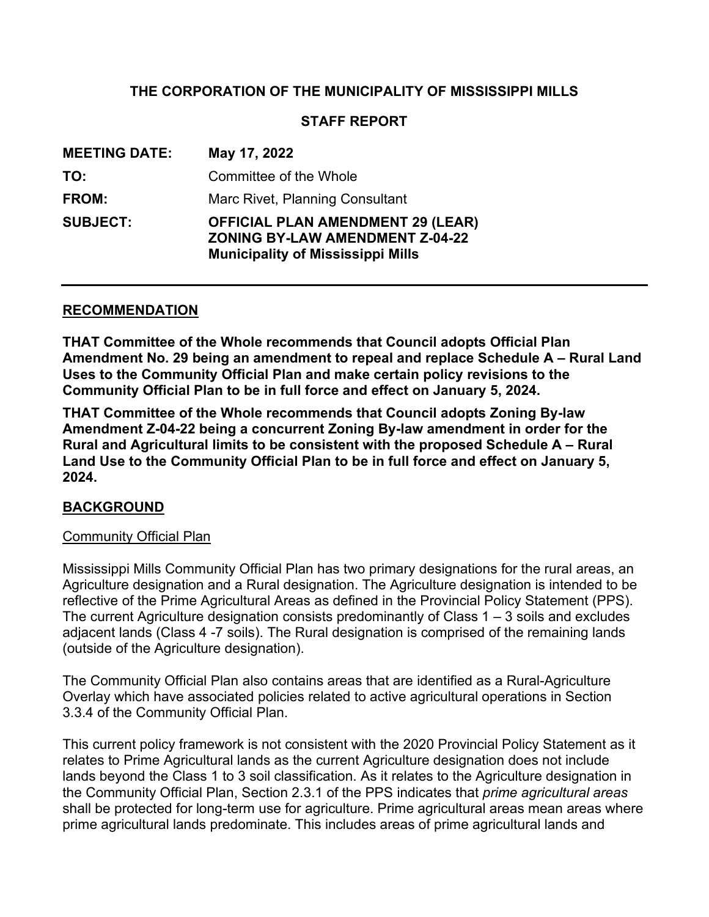## **THE CORPORATION OF THE MUNICIPALITY OF MISSISSIPPI MILLS**

## **STAFF REPORT**

| <b>MEETING DATE:</b> | May 17, 2022                                                                                                                   |
|----------------------|--------------------------------------------------------------------------------------------------------------------------------|
| TO:                  | Committee of the Whole                                                                                                         |
| FROM:                | Marc Rivet, Planning Consultant                                                                                                |
| <b>SUBJECT:</b>      | <b>OFFICIAL PLAN AMENDMENT 29 (LEAR)</b><br><b>ZONING BY-LAW AMENDMENT Z-04-22</b><br><b>Municipality of Mississippi Mills</b> |

#### **RECOMMENDATION**

**THAT Committee of the Whole recommends that Council adopts Official Plan Amendment No. 29 being an amendment to repeal and replace Schedule A – Rural Land Uses to the Community Official Plan and make certain policy revisions to the Community Official Plan to be in full force and effect on January 5, 2024.**

**THAT Committee of the Whole recommends that Council adopts Zoning By-law Amendment Z-04-22 being a concurrent Zoning By-law amendment in order for the Rural and Agricultural limits to be consistent with the proposed Schedule A – Rural Land Use to the Community Official Plan to be in full force and effect on January 5, 2024.**

#### **BACKGROUND**

#### **Community Official Plan**

Mississippi Mills Community Official Plan has two primary designations for the rural areas, an Agriculture designation and a Rural designation. The Agriculture designation is intended to be reflective of the Prime Agricultural Areas as defined in the Provincial Policy Statement (PPS). The current Agriculture designation consists predominantly of Class  $1 - 3$  soils and excludes adjacent lands (Class 4 -7 soils). The Rural designation is comprised of the remaining lands (outside of the Agriculture designation).

The Community Official Plan also contains areas that are identified as a Rural-Agriculture Overlay which have associated policies related to active agricultural operations in Section 3.3.4 of the Community Official Plan.

This current policy framework is not consistent with the 2020 Provincial Policy Statement as it relates to Prime Agricultural lands as the current Agriculture designation does not include lands beyond the Class 1 to 3 soil classification. As it relates to the Agriculture designation in the Community Official Plan, Section 2.3.1 of the PPS indicates that *prime agricultural areas* shall be protected for long-term use for agriculture. Prime agricultural areas mean areas where prime agricultural lands predominate. This includes areas of prime agricultural lands and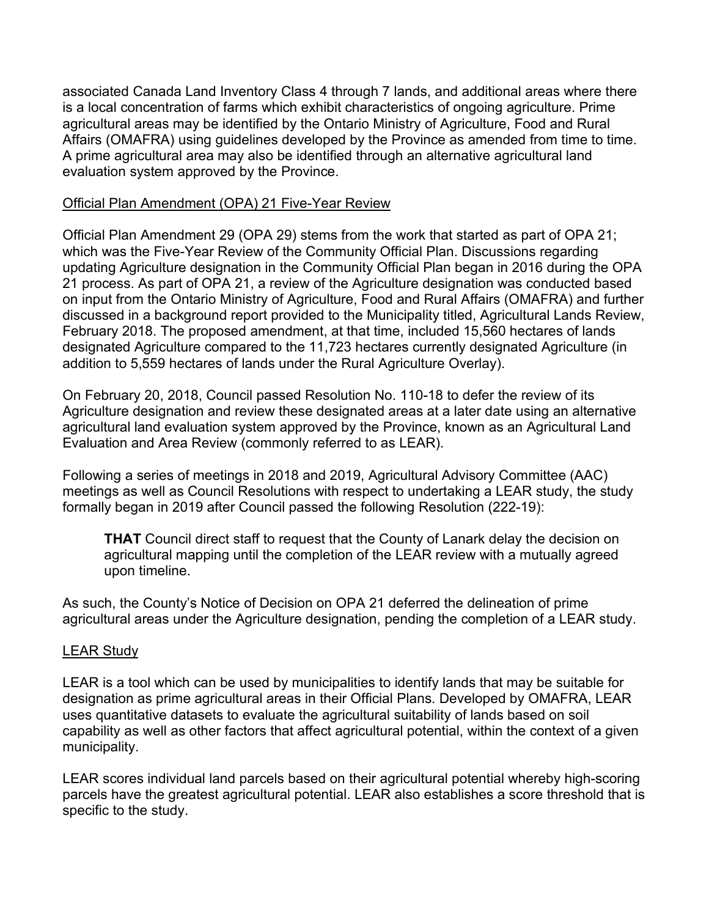associated Canada Land Inventory Class 4 through 7 lands, and additional areas where there is a local concentration of farms which exhibit characteristics of ongoing agriculture. Prime agricultural areas may be identified by the Ontario Ministry of Agriculture, Food and Rural Affairs (OMAFRA) using guidelines developed by the Province as amended from time to time. A prime agricultural area may also be identified through an alternative agricultural land evaluation system approved by the Province.

### Official Plan Amendment (OPA) 21 Five-Year Review

Official Plan Amendment 29 (OPA 29) stems from the work that started as part of OPA 21; which was the Five-Year Review of the Community Official Plan. Discussions regarding updating Agriculture designation in the Community Official Plan began in 2016 during the OPA 21 process. As part of OPA 21, a review of the Agriculture designation was conducted based on input from the Ontario Ministry of Agriculture, Food and Rural Affairs (OMAFRA) and further discussed in a background report provided to the Municipality titled, Agricultural Lands Review, February 2018. The proposed amendment, at that time, included 15,560 hectares of lands designated Agriculture compared to the 11,723 hectares currently designated Agriculture (in addition to 5,559 hectares of lands under the Rural Agriculture Overlay).

On February 20, 2018, Council passed Resolution No. 110-18 to defer the review of its Agriculture designation and review these designated areas at a later date using an alternative agricultural land evaluation system approved by the Province, known as an Agricultural Land Evaluation and Area Review (commonly referred to as LEAR).

Following a series of meetings in 2018 and 2019, Agricultural Advisory Committee (AAC) meetings as well as Council Resolutions with respect to undertaking a LEAR study, the study formally began in 2019 after Council passed the following Resolution (222-19):

**THAT** Council direct staff to request that the County of Lanark delay the decision on agricultural mapping until the completion of the LEAR review with a mutually agreed upon timeline.

As such, the County's Notice of Decision on OPA 21 deferred the delineation of prime agricultural areas under the Agriculture designation, pending the completion of a LEAR study.

#### LEAR Study

LEAR is a tool which can be used by municipalities to identify lands that may be suitable for designation as prime agricultural areas in their Official Plans. Developed by OMAFRA, LEAR uses quantitative datasets to evaluate the agricultural suitability of lands based on soil capability as well as other factors that affect agricultural potential, within the context of a given municipality.

LEAR scores individual land parcels based on their agricultural potential whereby high-scoring parcels have the greatest agricultural potential. LEAR also establishes a score threshold that is specific to the study.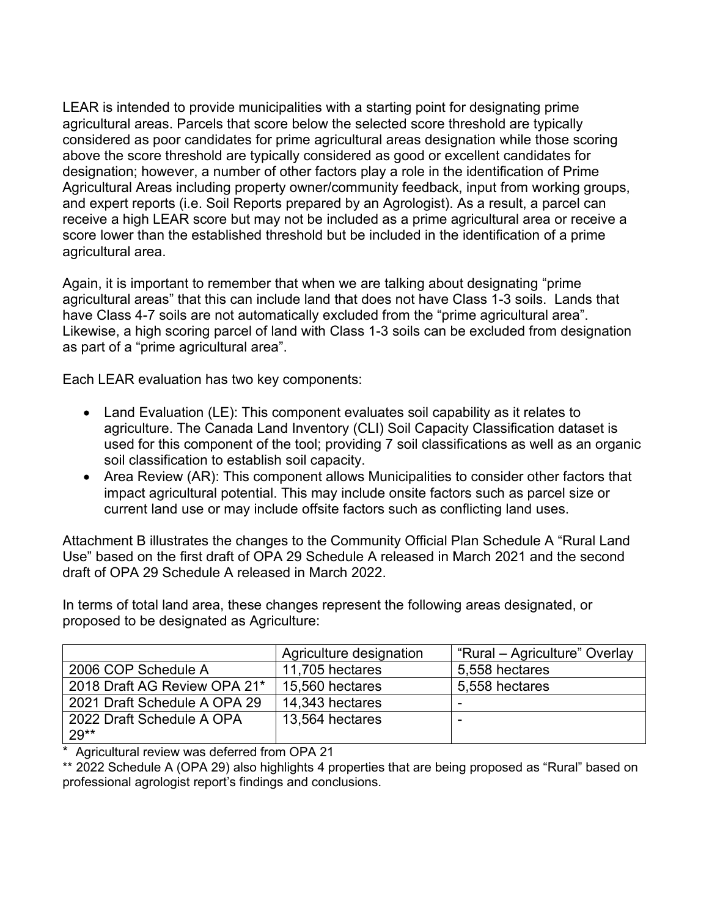LEAR is intended to provide municipalities with a starting point for designating prime agricultural areas. Parcels that score below the selected score threshold are typically considered as poor candidates for prime agricultural areas designation while those scoring above the score threshold are typically considered as good or excellent candidates for designation; however, a number of other factors play a role in the identification of Prime Agricultural Areas including property owner/community feedback, input from working groups, and expert reports (i.e. Soil Reports prepared by an Agrologist). As a result, a parcel can receive a high LEAR score but may not be included as a prime agricultural area or receive a score lower than the established threshold but be included in the identification of a prime agricultural area.

Again, it is important to remember that when we are talking about designating "prime agricultural areas" that this can include land that does not have Class 1-3 soils. Lands that have Class 4-7 soils are not automatically excluded from the "prime agricultural area". Likewise, a high scoring parcel of land with Class 1-3 soils can be excluded from designation as part of a "prime agricultural area".

Each LEAR evaluation has two key components:

- Land Evaluation (LE): This component evaluates soil capability as it relates to agriculture. The Canada Land Inventory (CLI) Soil Capacity Classification dataset is used for this component of the tool; providing 7 soil classifications as well as an organic soil classification to establish soil capacity.
- Area Review (AR): This component allows Municipalities to consider other factors that impact agricultural potential. This may include onsite factors such as parcel size or current land use or may include offsite factors such as conflicting land uses.

Attachment B illustrates the changes to the Community Official Plan Schedule A "Rural Land Use" based on the first draft of OPA 29 Schedule A released in March 2021 and the second draft of OPA 29 Schedule A released in March 2022.

In terms of total land area, these changes represent the following areas designated, or proposed to be designated as Agriculture:

|                              | Agriculture designation | "Rural – Agriculture" Overlay |
|------------------------------|-------------------------|-------------------------------|
| 2006 COP Schedule A          | 11,705 hectares         | 5,558 hectares                |
| 2018 Draft AG Review OPA 21* | 15,560 hectares         | 5,558 hectares                |
| 2021 Draft Schedule A OPA 29 | 14,343 hectares         | -                             |
| 2022 Draft Schedule A OPA    | 13,564 hectares         |                               |
| $29**$                       |                         |                               |

\* Agricultural review was deferred from OPA 21

\*\* 2022 Schedule A (OPA 29) also highlights 4 properties that are being proposed as "Rural" based on professional agrologist report's findings and conclusions.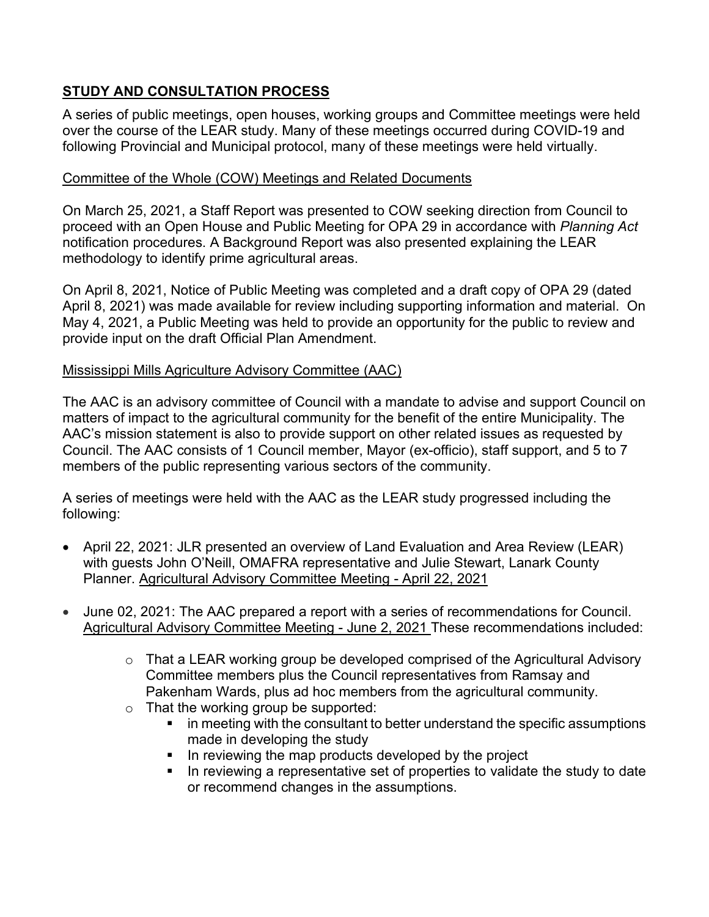# **STUDY AND CONSULTATION PROCESS**

A series of public meetings, open houses, working groups and Committee meetings were held over the course of the LEAR study. Many of these meetings occurred during COVID-19 and following Provincial and Municipal protocol, many of these meetings were held virtually.

## Committee of the Whole (COW) Meetings and Related Documents

On March 25, 2021, a Staff Report was presented to COW seeking direction from Council to proceed with an Open House and Public Meeting for OPA 29 in accordance with *Planning Act* notification procedures. A Background Report was also presented explaining the LEAR methodology to identify prime agricultural areas.

On April 8, 2021, Notice of Public Meeting was completed and a draft copy of OPA 29 (dated April 8, 2021) was made available for review including supporting information and material. On May 4, 2021, a Public Meeting was held to provide an opportunity for the public to review and provide input on the draft Official Plan Amendment.

## Mississippi Mills Agriculture Advisory Committee (AAC)

The AAC is an advisory committee of Council with a mandate to advise and support Council on matters of impact to the agricultural community for the benefit of the entire Municipality. The AAC's mission statement is also to provide support on other related issues as requested by Council. The AAC consists of 1 Council member, Mayor (ex-officio), staff support, and 5 to 7 members of the public representing various sectors of the community.

A series of meetings were held with the AAC as the LEAR study progressed including the following:

- April 22, 2021: JLR presented an overview of Land Evaluation and Area Review (LEAR) with guests John O'Neill, OMAFRA representative and Julie Stewart, Lanark County Planner. [Agricultural Advisory Committee Meeting -](https://pub-mississippimills.escribemeetings.com/Meeting.aspx?Id=5dfc413b-ef8c-4672-9a9f-311940ff7375&Agenda=Agenda&lang=English) April 22, 2021
- June 02, 2021: The AAC prepared a report with a series of recommendations for Council. [Agricultural Advisory Committee Meeting -](https://pub-mississippimills.escribemeetings.com/Meeting.aspx?Id=c35bc6c7-5e2a-4552-834d-3cf7a87db2b2&Agenda=Agenda&lang=English) June 2, 2021 These recommendations included:
	- o That a LEAR working group be developed comprised of the Agricultural Advisory Committee members plus the Council representatives from Ramsay and Pakenham Wards, plus ad hoc members from the agricultural community.
	- o That the working group be supported:
		- **I** in meeting with the consultant to better understand the specific assumptions made in developing the study
		- In reviewing the map products developed by the project
		- In reviewing a representative set of properties to validate the study to date or recommend changes in the assumptions.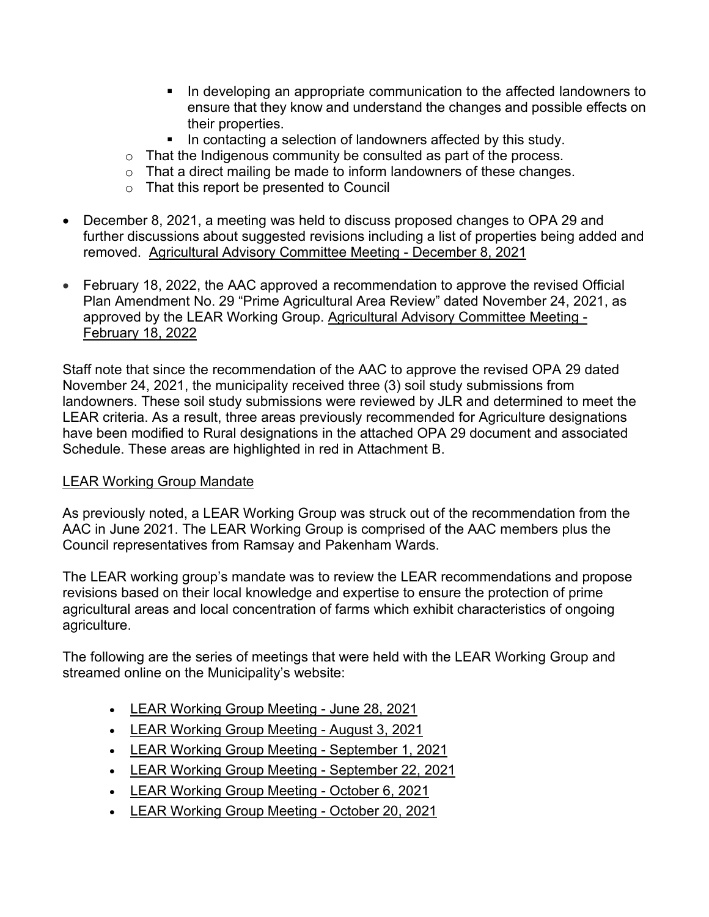- In developing an appropriate communication to the affected landowners to ensure that they know and understand the changes and possible effects on their properties.
- In contacting a selection of landowners affected by this study.
- o That the Indigenous community be consulted as part of the process.
- o That a direct mailing be made to inform landowners of these changes.
- o That this report be presented to Council
- December 8, 2021, a meeting was held to discuss proposed changes to OPA 29 and further discussions about suggested revisions including a list of properties being added and removed. [Agricultural Advisory Committee Meeting -](https://pub-mississippimills.escribemeetings.com/Players/ISIStandAlonePlayer.aspx?ClientId=mississippimills&FileName=Encoder%20550_Agricultural%20Advisory%20Committee_2021-12-08-06-04.mp4) December 8, 2021
- February 18, 2022, the AAC approved a recommendation to approve the revised Official Plan Amendment No. 29 "Prime Agricultural Area Review" dated November 24, 2021, as approved by the LEAR Working Group. [Agricultural Advisory Committee Meeting -](https://events.mississippimills.ca/council/Detail/2022-02-18-1200-Agricultural-Advisory-Committee) [February 18, 2022](https://events.mississippimills.ca/council/Detail/2022-02-18-1200-Agricultural-Advisory-Committee)

Staff note that since the recommendation of the AAC to approve the revised OPA 29 dated November 24, 2021, the municipality received three (3) soil study submissions from landowners. These soil study submissions were reviewed by JLR and determined to meet the LEAR criteria. As a result, three areas previously recommended for Agriculture designations have been modified to Rural designations in the attached OPA 29 document and associated Schedule. These areas are highlighted in red in Attachment B.

## LEAR Working Group Mandate

As previously noted, a LEAR Working Group was struck out of the recommendation from the AAC in June 2021. The LEAR Working Group is comprised of the AAC members plus the Council representatives from Ramsay and Pakenham Wards.

The LEAR working group's mandate was to review the LEAR recommendations and propose revisions based on their local knowledge and expertise to ensure the protection of prime agricultural areas and local concentration of farms which exhibit characteristics of ongoing agriculture.

The following are the series of meetings that were held with the LEAR Working Group and streamed online on the Municipality's website:

- [LEAR Working Group Meeting -](https://www.youtube.com/watch?v=hl9nxgKqP1k) June 28, 2021
- [LEAR Working Group Meeting -](https://www.youtube.com/watch?v=LnpDMbAM6q8) August 3, 2021
- [LEAR Working Group Meeting -](https://www.youtube.com/watch?v=ZVLqw4qKHkc) September 1, 2021
- [LEAR Working Group Meeting -](https://www.youtube.com/watch?v=dTslenr72HE) September 22, 2021
- [LEAR Working Group Meeting -](https://pub-mississippimills.escribemeetings.com/Players/ISIStandAlonePlayer.aspx?ClientId=mississippimills&FileName=Encoder%20550_Agricultural%20Working%20Group%20-%20LEAR_2021-10-06-10-02.mp4) October 6, 2021
- [LEAR Working Group Meeting -](https://pub-mississippimills.escribemeetings.com/Players/ISIStandAlonePlayer.aspx?ClientId=mississippimills&FileName=Encoder%20550_Agricultural%20Working%20Group%20-%20LEAR_2021-10-20-10-03.mp4) October 20, 2021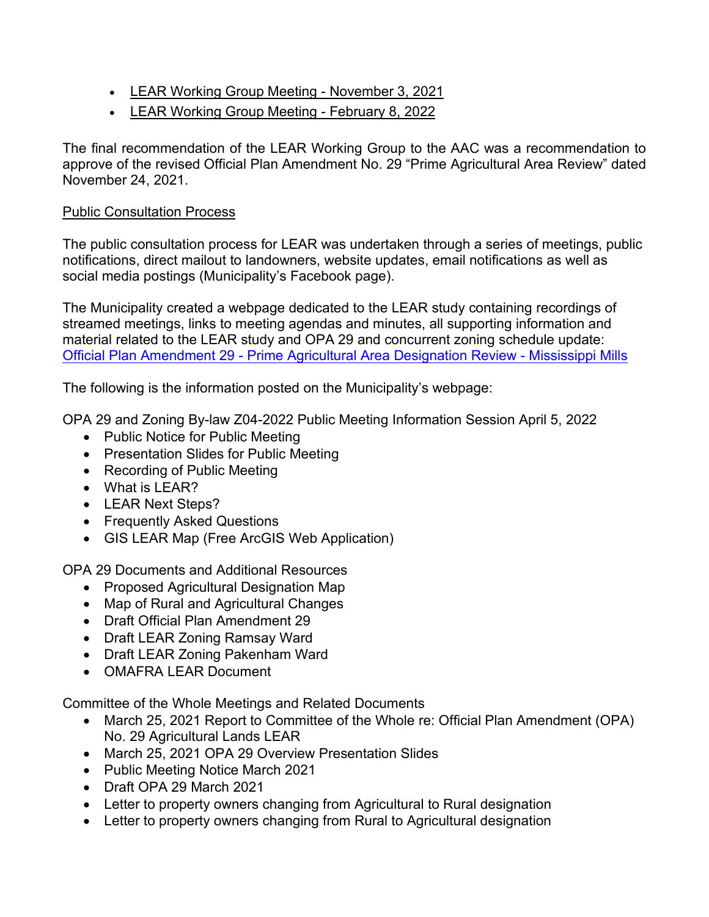- [LEAR Working Group Meeting -](https://pub-mississippimills.escribemeetings.com/Players/ISIStandAlonePlayer.aspx?ClientId=mississippimills&FileName=Encoder%20550_Agricultural%20Working%20Group%20-%20LEAR_2021-11-03-10-01.mp4) November 3, 2021
- [LEAR Working Group Meeting -](https://pub-mississippimills.escribemeetings.com/Players/ISIStandAlonePlayer.aspx?ClientId=mississippimills&FileName=lite_encoder_Agricultural%20Working%20Group%20-%20LEAR_2022-02-08-10-03.mp4) February 8, 2022

The final recommendation of the LEAR Working Group to the AAC was a recommendation to approve of the revised Official Plan Amendment No. 29 "Prime Agricultural Area Review" dated November 24, 2021.

## Public Consultation Process

The public consultation process for LEAR was undertaken through a series of meetings, public notifications, direct mailout to landowners, website updates, email notifications as well as social media postings (Municipality's Facebook page).

The Municipality created a webpage dedicated to the LEAR study containing recordings of streamed meetings, links to meeting agendas and minutes, all supporting information and material related to the LEAR study and OPA 29 and concurrent zoning schedule update: Official Plan Amendment 29 - [Prime Agricultural Area Designation Review -](https://www.mississippimills.ca/en/municipal-hall/official-plan-amendment-29-prime-agricultural-area-designation-review.aspx) Mississippi Mills

The following is the information posted on the Municipality's webpage:

OPA 29 and Zoning By-law Z04-2022 Public Meeting Information Session April 5, 2022

- Public Notice for Public Meeting
- Presentation Slides for Public Meeting
- Recording of Public Meeting
- What is LEAR?
- LEAR Next Steps?
- Frequently Asked Questions
- GIS LEAR Map (Free ArcGIS Web Application)

OPA 29 Documents and Additional Resources

- Proposed Agricultural Designation Map
- Map of Rural and Agricultural Changes
- Draft Official Plan Amendment 29
- Draft LEAR Zoning Ramsay Ward
- Draft LEAR Zoning Pakenham Ward
- OMAFRA LEAR Document

Committee of the Whole Meetings and Related Documents

- March 25, 2021 Report to Committee of the Whole re: Official Plan Amendment (OPA) No. 29 Agricultural Lands LEAR
- March 25, 2021 OPA 29 Overview Presentation Slides
- Public Meeting Notice March 2021
- Draft OPA 29 March 2021
- Letter to property owners changing from Agricultural to Rural designation
- Letter to property owners changing from Rural to Agricultural designation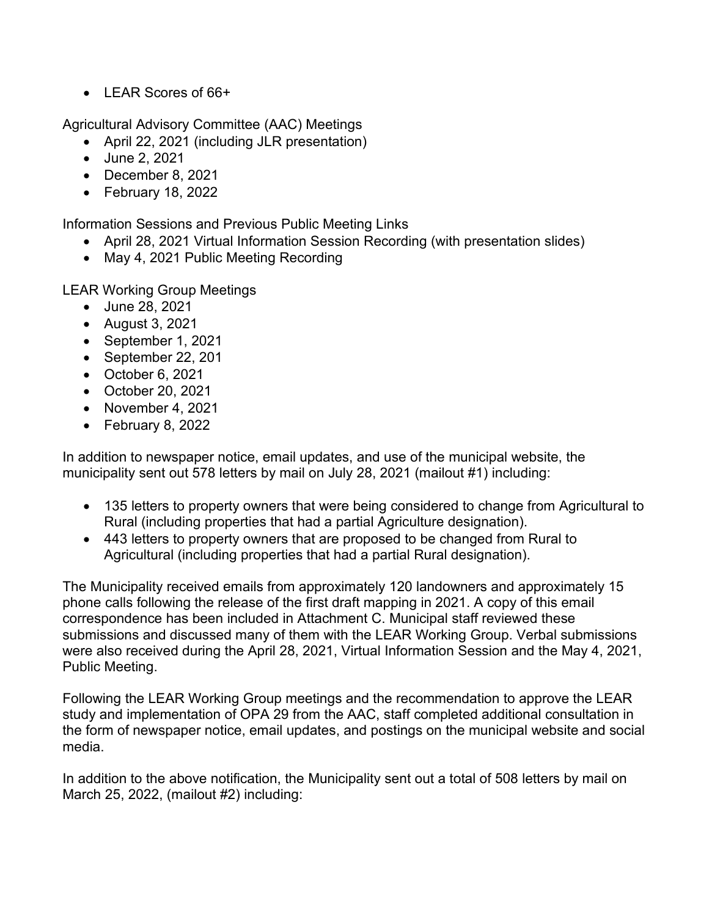• LEAR Scores of 66+

Agricultural Advisory Committee (AAC) Meetings

- April 22, 2021 (including JLR presentation)
- June 2, 2021
- December 8, 2021
- February 18, 2022

Information Sessions and Previous Public Meeting Links

- April 28, 2021 Virtual Information Session Recording (with presentation slides)
- May 4, 2021 Public Meeting Recording

LEAR Working Group Meetings

- June 28, 2021
- August 3, 2021
- September 1, 2021
- September 22, 201
- October 6, 2021
- October 20, 2021
- November 4, 2021
- February 8, 2022

In addition to newspaper notice, email updates, and use of the municipal website, the municipality sent out 578 letters by mail on July 28, 2021 (mailout #1) including:

- 135 letters to property owners that were being considered to change from Agricultural to Rural (including properties that had a partial Agriculture designation).
- 443 letters to property owners that are proposed to be changed from Rural to Agricultural (including properties that had a partial Rural designation).

The Municipality received emails from approximately 120 landowners and approximately 15 phone calls following the release of the first draft mapping in 2021. A copy of this email correspondence has been included in Attachment C. Municipal staff reviewed these submissions and discussed many of them with the LEAR Working Group. Verbal submissions were also received during the April 28, 2021, Virtual Information Session and the May 4, 2021, Public Meeting.

Following the LEAR Working Group meetings and the recommendation to approve the LEAR study and implementation of OPA 29 from the AAC, staff completed additional consultation in the form of newspaper notice, email updates, and postings on the municipal website and social media.

In addition to the above notification, the Municipality sent out a total of 508 letters by mail on March 25, 2022, (mailout #2) including: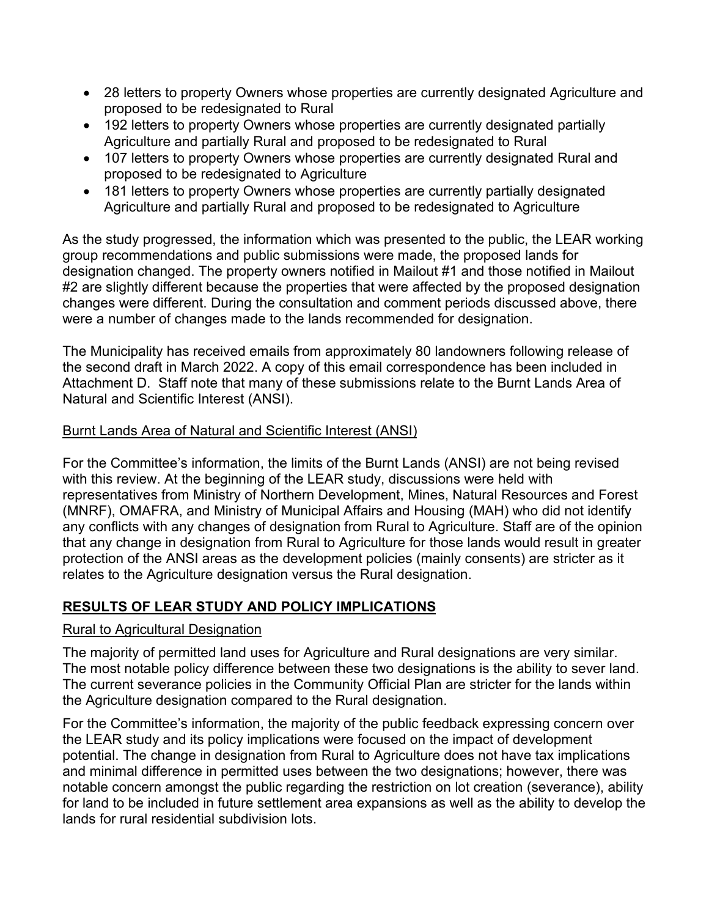- 28 letters to property Owners whose properties are currently designated Agriculture and proposed to be redesignated to Rural
- 192 letters to property Owners whose properties are currently designated partially Agriculture and partially Rural and proposed to be redesignated to Rural
- 107 letters to property Owners whose properties are currently designated Rural and proposed to be redesignated to Agriculture
- 181 letters to property Owners whose properties are currently partially designated Agriculture and partially Rural and proposed to be redesignated to Agriculture

As the study progressed, the information which was presented to the public, the LEAR working group recommendations and public submissions were made, the proposed lands for designation changed. The property owners notified in Mailout #1 and those notified in Mailout #2 are slightly different because the properties that were affected by the proposed designation changes were different. During the consultation and comment periods discussed above, there were a number of changes made to the lands recommended for designation.

The Municipality has received emails from approximately 80 landowners following release of the second draft in March 2022. A copy of this email correspondence has been included in Attachment D. Staff note that many of these submissions relate to the Burnt Lands Area of Natural and Scientific Interest (ANSI).

## Burnt Lands Area of Natural and Scientific Interest (ANSI)

For the Committee's information, the limits of the Burnt Lands (ANSI) are not being revised with this review. At the beginning of the LEAR study, discussions were held with representatives from Ministry of Northern Development, Mines, Natural Resources and Forest (MNRF), OMAFRA, and Ministry of Municipal Affairs and Housing (MAH) who did not identify any conflicts with any changes of designation from Rural to Agriculture. Staff are of the opinion that any change in designation from Rural to Agriculture for those lands would result in greater protection of the ANSI areas as the development policies (mainly consents) are stricter as it relates to the Agriculture designation versus the Rural designation.

# **RESULTS OF LEAR STUDY AND POLICY IMPLICATIONS**

#### Rural to Agricultural Designation

The majority of permitted land uses for Agriculture and Rural designations are very similar. The most notable policy difference between these two designations is the ability to sever land. The current severance policies in the Community Official Plan are stricter for the lands within the Agriculture designation compared to the Rural designation.

For the Committee's information, the majority of the public feedback expressing concern over the LEAR study and its policy implications were focused on the impact of development potential. The change in designation from Rural to Agriculture does not have tax implications and minimal difference in permitted uses between the two designations; however, there was notable concern amongst the public regarding the restriction on lot creation (severance), ability for land to be included in future settlement area expansions as well as the ability to develop the lands for rural residential subdivision lots.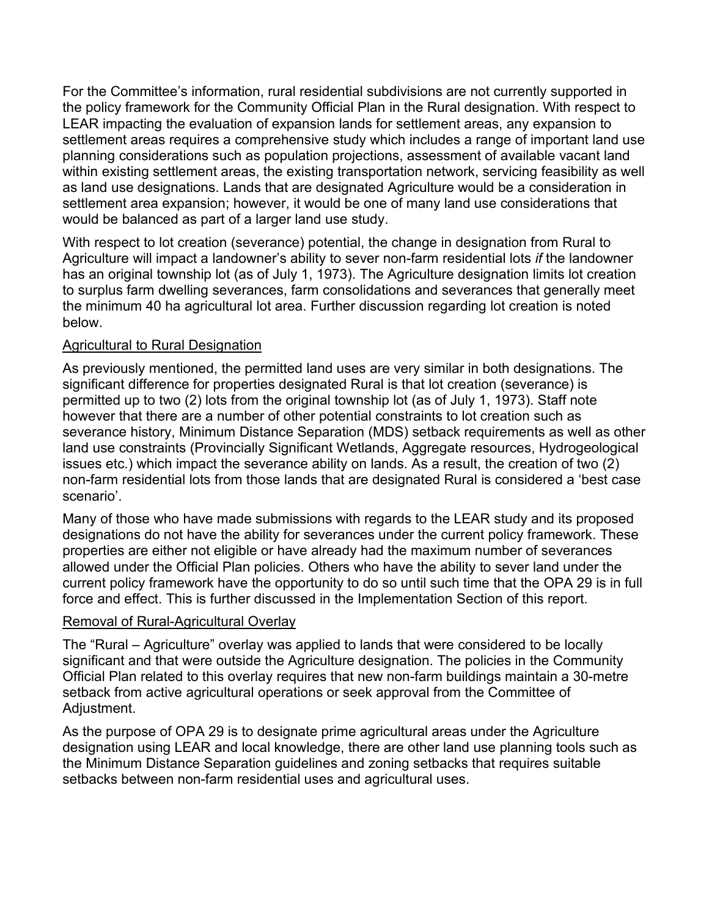For the Committee's information, rural residential subdivisions are not currently supported in the policy framework for the Community Official Plan in the Rural designation. With respect to LEAR impacting the evaluation of expansion lands for settlement areas, any expansion to settlement areas requires a comprehensive study which includes a range of important land use planning considerations such as population projections, assessment of available vacant land within existing settlement areas, the existing transportation network, servicing feasibility as well as land use designations. Lands that are designated Agriculture would be a consideration in settlement area expansion; however, it would be one of many land use considerations that would be balanced as part of a larger land use study.

With respect to lot creation (severance) potential, the change in designation from Rural to Agriculture will impact a landowner's ability to sever non-farm residential lots *if* the landowner has an original township lot (as of July 1, 1973). The Agriculture designation limits lot creation to surplus farm dwelling severances, farm consolidations and severances that generally meet the minimum 40 ha agricultural lot area. Further discussion regarding lot creation is noted below.

## Agricultural to Rural Designation

As previously mentioned, the permitted land uses are very similar in both designations. The significant difference for properties designated Rural is that lot creation (severance) is permitted up to two (2) lots from the original township lot (as of July 1, 1973). Staff note however that there are a number of other potential constraints to lot creation such as severance history, Minimum Distance Separation (MDS) setback requirements as well as other land use constraints (Provincially Significant Wetlands, Aggregate resources, Hydrogeological issues etc.) which impact the severance ability on lands. As a result, the creation of two (2) non-farm residential lots from those lands that are designated Rural is considered a 'best case scenario'.

Many of those who have made submissions with regards to the LEAR study and its proposed designations do not have the ability for severances under the current policy framework. These properties are either not eligible or have already had the maximum number of severances allowed under the Official Plan policies. Others who have the ability to sever land under the current policy framework have the opportunity to do so until such time that the OPA 29 is in full force and effect. This is further discussed in the Implementation Section of this report.

#### Removal of Rural-Agricultural Overlay

The "Rural – Agriculture" overlay was applied to lands that were considered to be locally significant and that were outside the Agriculture designation. The policies in the Community Official Plan related to this overlay requires that new non-farm buildings maintain a 30-metre setback from active agricultural operations or seek approval from the Committee of Adjustment.

As the purpose of OPA 29 is to designate prime agricultural areas under the Agriculture designation using LEAR and local knowledge, there are other land use planning tools such as the Minimum Distance Separation guidelines and zoning setbacks that requires suitable setbacks between non-farm residential uses and agricultural uses.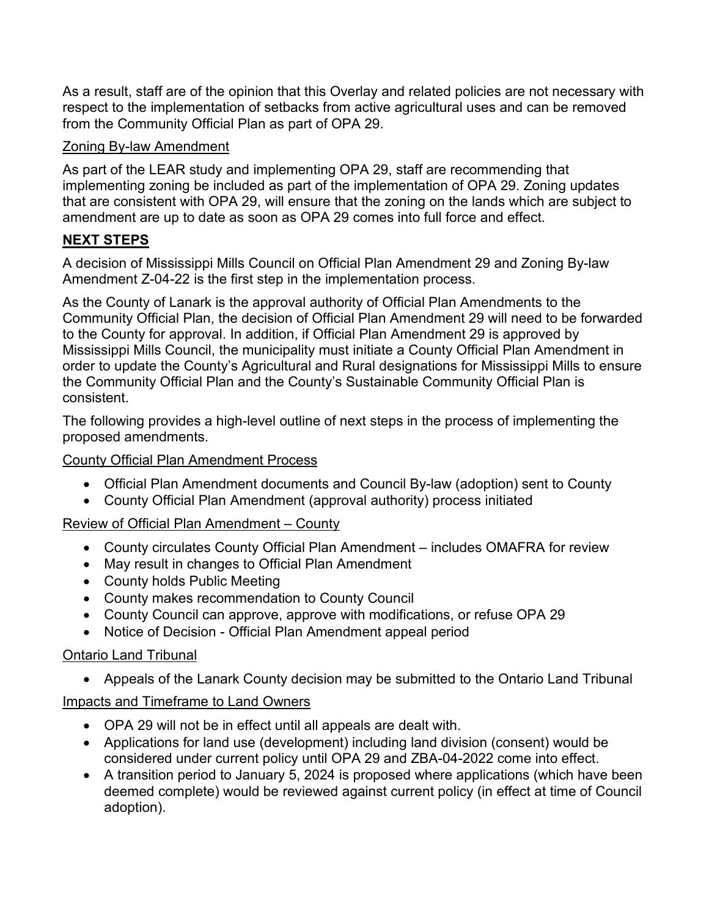As a result, staff are of the opinion that this Overlay and related policies are not necessary with respect to the implementation of setbacks from active agricultural uses and can be removed from the Community Official Plan as part of OPA 29.

# Zoning By-law Amendment

As part of the LEAR study and implementing OPA 29, staff are recommending that implementing zoning be included as part of the implementation of OPA 29. Zoning updates that are consistent with OPA 29, will ensure that the zoning on the lands which are subject to amendment are up to date as soon as OPA 29 comes into full force and effect.

# **NEXT STEPS**

A decision of Mississippi Mills Council on Official Plan Amendment 29 and Zoning By-law Amendment Z-04-22 is the first step in the implementation process.

As the County of Lanark is the approval authority of Official Plan Amendments to the Community Official Plan, the decision of Official Plan Amendment 29 will need to be forwarded to the County for approval. In addition, if Official Plan Amendment 29 is approved by Mississippi Mills Council, the municipality must initiate a County Official Plan Amendment in order to update the County's Agricultural and Rural designations for Mississippi Mills to ensure the Community Official Plan and the County's Sustainable Community Official Plan is consistent.

The following provides a high-level outline of next steps in the process of implementing the proposed amendments.

## County Official Plan Amendment Process

- Official Plan Amendment documents and Council By-law (adoption) sent to County
- County Official Plan Amendment (approval authority) process initiated

# Review of Official Plan Amendment – County

- County circulates County Official Plan Amendment includes OMAFRA for review
- May result in changes to Official Plan Amendment
- County holds Public Meeting
- County makes recommendation to County Council
- County Council can approve, approve with modifications, or refuse OPA 29
- Notice of Decision Official Plan Amendment appeal period

## Ontario Land Tribunal

• Appeals of the Lanark County decision may be submitted to the Ontario Land Tribunal

# Impacts and Timeframe to Land Owners

- OPA 29 will not be in effect until all appeals are dealt with.
- Applications for land use (development) including land division (consent) would be considered under current policy until OPA 29 and ZBA-04-2022 come into effect.
- A transition period to January 5, 2024 is proposed where applications (which have been deemed complete) would be reviewed against current policy (in effect at time of Council adoption).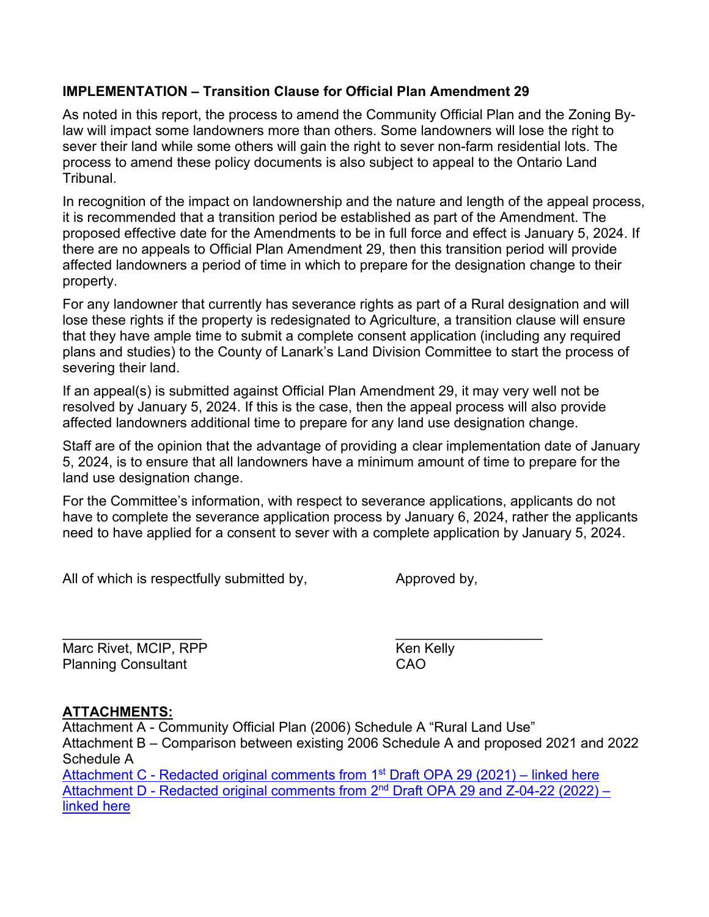## **IMPLEMENTATION – Transition Clause for Official Plan Amendment 29**

As noted in this report, the process to amend the Community Official Plan and the Zoning Bylaw will impact some landowners more than others. Some landowners will lose the right to sever their land while some others will gain the right to sever non-farm residential lots. The process to amend these policy documents is also subject to appeal to the Ontario Land Tribunal.

In recognition of the impact on landownership and the nature and length of the appeal process, it is recommended that a transition period be established as part of the Amendment. The proposed effective date for the Amendments to be in full force and effect is January 5, 2024. If there are no appeals to Official Plan Amendment 29, then this transition period will provide affected landowners a period of time in which to prepare for the designation change to their property.

For any landowner that currently has severance rights as part of a Rural designation and will lose these rights if the property is redesignated to Agriculture, a transition clause will ensure that they have ample time to submit a complete consent application (including any required plans and studies) to the County of Lanark's Land Division Committee to start the process of severing their land.

If an appeal(s) is submitted against Official Plan Amendment 29, it may very well not be resolved by January 5, 2024. If this is the case, then the appeal process will also provide affected landowners additional time to prepare for any land use designation change.

Staff are of the opinion that the advantage of providing a clear implementation date of January 5, 2024, is to ensure that all landowners have a minimum amount of time to prepare for the land use designation change.

For the Committee's information, with respect to severance applications, applicants do not have to complete the severance application process by January 6, 2024, rather the applicants need to have applied for a consent to sever with a complete application by January 5, 2024.

All of which is respectfully submitted by, Approved by,

\_\_\_\_\_\_\_\_\_\_\_\_\_\_\_\_\_\_ \_\_\_\_\_\_\_\_\_\_\_\_\_\_\_\_\_\_\_ Marc Rivet, MCIP, RPP Ken Kelly Planning Consultant CAO

# **ATTACHMENTS:**

Attachment A - Community Official Plan (2006) Schedule A "Rural Land Use" Attachment B – Comparison between existing 2006 Schedule A and proposed 2021 and 2022 Schedule A Attachment C - [Redacted original comments](https://www.mississippimills.ca/en/build-and-invest/lear-attachment-c-and-d-emails-redacted.aspx) from 1<sup>st</sup> Draft OPA 29 (2021) – linked here Attachment D - Redacted original comments from 2<sup>nd</sup> Draft OPA 29 and Z-04-22 (2022) – [linked here](https://www.mississippimills.ca/en/build-and-invest/lear-attachment-c-and-d-emails-redacted.aspx)